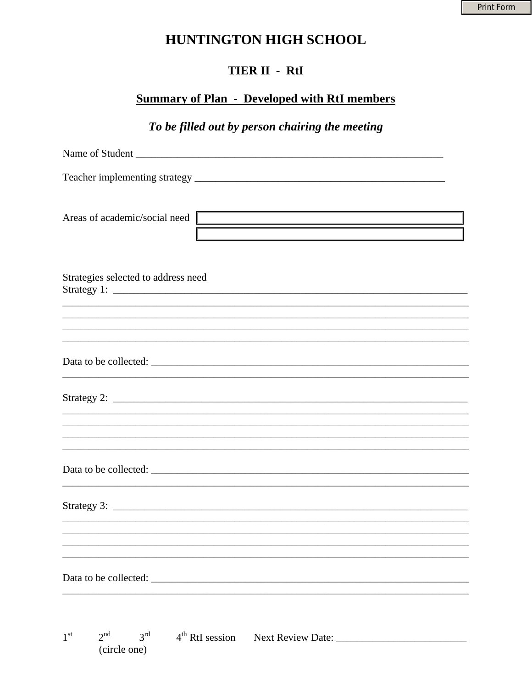## HUNTINGTON HIGH SCHOOL

### TIER II - RtI

### **Summary of Plan - Developed with RtI members**

To be filled out by person chairing the meeting

| Areas of academic/social need                                                                                                                                                                                                                                                                                     |
|-------------------------------------------------------------------------------------------------------------------------------------------------------------------------------------------------------------------------------------------------------------------------------------------------------------------|
| Strategies selected to address need<br><u> 1990 - Johann Stoff, deutscher Stoffen und der Stoffen und der Stoffen und der Stoffen und der Stoffen und d</u>                                                                                                                                                       |
| ,我们也不会有什么。""我们的人,我们也不会有什么?""我们的人,我们也不会有什么?""我们的人,我们也不会有什么?""我们的人,我们也不会有什么?""我们的人                                                                                                                                                                                                                                  |
| ,我们也不能在这里的时候,我们也不能在这里的时候,我们也不能会在这里的时候,我们也不能会在这里的时候,我们也不能会在这里的时候,我们也不能会在这里的时候,我们也不                                                                                                                                                                                                                                 |
|                                                                                                                                                                                                                                                                                                                   |
|                                                                                                                                                                                                                                                                                                                   |
| Strategy 2: $\frac{1}{2}$ $\frac{1}{2}$ $\frac{1}{2}$ $\frac{1}{2}$ $\frac{1}{2}$ $\frac{1}{2}$ $\frac{1}{2}$ $\frac{1}{2}$ $\frac{1}{2}$ $\frac{1}{2}$ $\frac{1}{2}$ $\frac{1}{2}$ $\frac{1}{2}$ $\frac{1}{2}$ $\frac{1}{2}$ $\frac{1}{2}$ $\frac{1}{2}$ $\frac{1}{2}$ $\frac{1}{2}$ $\frac{1}{2}$ $\frac{1}{2}$ |
|                                                                                                                                                                                                                                                                                                                   |
|                                                                                                                                                                                                                                                                                                                   |
|                                                                                                                                                                                                                                                                                                                   |
|                                                                                                                                                                                                                                                                                                                   |
|                                                                                                                                                                                                                                                                                                                   |
|                                                                                                                                                                                                                                                                                                                   |
| ,我们也不能在这里的时候,我们也不能在这里的时候,我们也不能会在这里的时候,我们也不能会在这里的时候,我们也不能会在这里的时候,我们也不能会在这里的时候,我们也不                                                                                                                                                                                                                                 |
|                                                                                                                                                                                                                                                                                                                   |
|                                                                                                                                                                                                                                                                                                                   |
|                                                                                                                                                                                                                                                                                                                   |
|                                                                                                                                                                                                                                                                                                                   |
|                                                                                                                                                                                                                                                                                                                   |